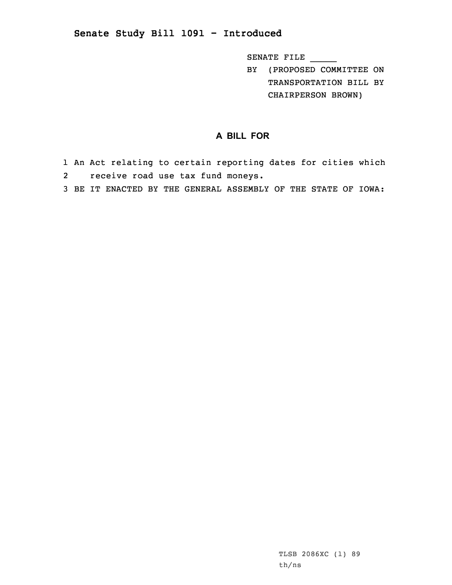## **Senate Study Bill 1091 - Introduced**

SENATE FILE \_\_\_\_\_

BY (PROPOSED COMMITTEE ON TRANSPORTATION BILL BY CHAIRPERSON BROWN)

## **A BILL FOR**

- 1 An Act relating to certain reporting dates for cities which 2 receive road use tax fund moneys.
- 3 BE IT ENACTED BY THE GENERAL ASSEMBLY OF THE STATE OF IOWA: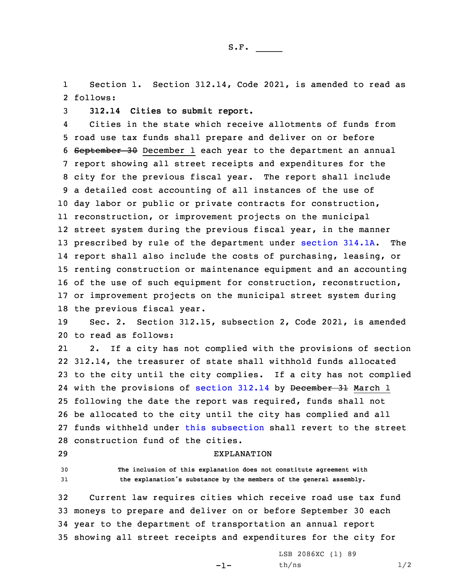S.F.  $\rule{1em}{0.15mm}$ 

1 Section 1. Section 312.14, Code 2021, is amended to read as 2 follows:

3 **312.14 Cities to submit report.**

4 Cities in the state which receive allotments of funds from road use tax funds shall prepare and deliver on or before September 30 December 1 each year to the department an annual report showing all street receipts and expenditures for the city for the previous fiscal year. The report shall include <sup>a</sup> detailed cost accounting of all instances of the use of day labor or public or private contracts for construction, reconstruction, or improvement projects on the municipal street system during the previous fiscal year, in the manner prescribed by rule of the department under [section](https://www.legis.iowa.gov/docs/code/2021/314.1A.pdf) 314.1A. The report shall also include the costs of purchasing, leasing, or renting construction or maintenance equipment and an accounting of the use of such equipment for construction, reconstruction, or improvement projects on the municipal street system during the previous fiscal year.

19 Sec. 2. Section 312.15, subsection 2, Code 2021, is amended 20 to read as follows:

21 2. If <sup>a</sup> city has not complied with the provisions of section 312.14, the treasurer of state shall withhold funds allocated to the city until the city complies. If <sup>a</sup> city has not complied 24 with the provisions of [section](https://www.legis.iowa.gov/docs/code/2021/312.14.pdf) 312.14 by <del>December 31</del> March 1 following the date the report was required, funds shall not be allocated to the city until the city has complied and all funds withheld under this [subsection](https://www.legis.iowa.gov/docs/code/2021/312.15.pdf) shall revert to the street construction fund of the cities.

## 29 EXPLANATION

30 **The inclusion of this explanation does not constitute agreement with** <sup>31</sup> **the explanation's substance by the members of the general assembly.**

 Current law requires cities which receive road use tax fund moneys to prepare and deliver on or before September 30 each year to the department of transportation an annual report showing all street receipts and expenditures for the city for

-1-

LSB 2086XC (1) 89  $th/ns$   $1/2$